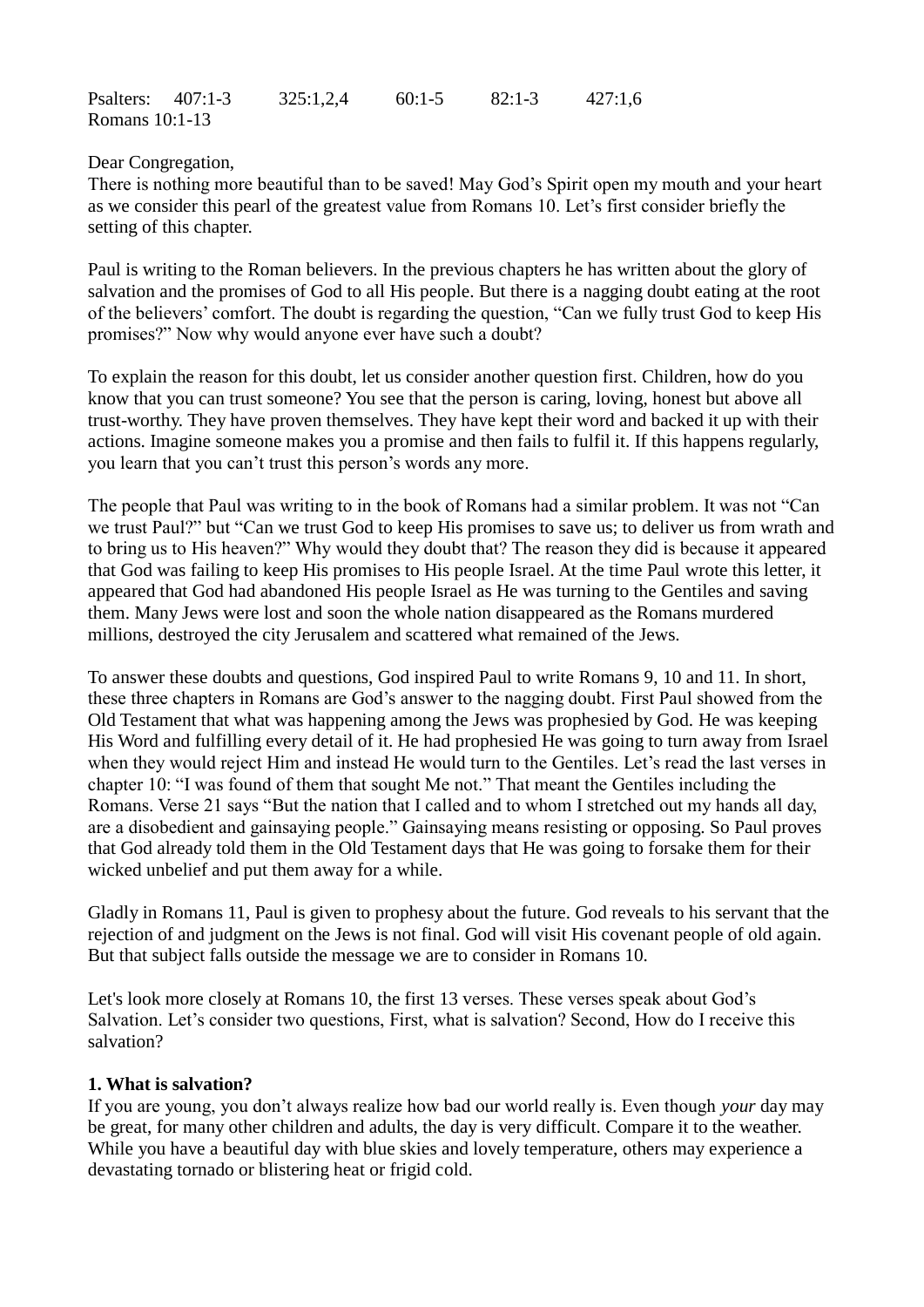Psalters: 407:1-3 325:1,2,4 60:1-5 82:1-3 427:1,6 Romans 10:1-13

Dear Congregation,

There is nothing more beautiful than to be saved! May God's Spirit open my mouth and your heart as we consider this pearl of the greatest value from Romans 10. Let's first consider briefly the setting of this chapter.

Paul is writing to the Roman believers. In the previous chapters he has written about the glory of salvation and the promises of God to all His people. But there is a nagging doubt eating at the root of the believers' comfort. The doubt is regarding the question, "Can we fully trust God to keep His promises?" Now why would anyone ever have such a doubt?

To explain the reason for this doubt, let us consider another question first. Children, how do you know that you can trust someone? You see that the person is caring, loving, honest but above all trust-worthy. They have proven themselves. They have kept their word and backed it up with their actions. Imagine someone makes you a promise and then fails to fulfil it. If this happens regularly, you learn that you can't trust this person's words any more.

The people that Paul was writing to in the book of Romans had a similar problem. It was not "Can we trust Paul?" but "Can we trust God to keep His promises to save us; to deliver us from wrath and to bring us to His heaven?" Why would they doubt that? The reason they did is because it appeared that God was failing to keep His promises to His people Israel. At the time Paul wrote this letter, it appeared that God had abandoned His people Israel as He was turning to the Gentiles and saving them. Many Jews were lost and soon the whole nation disappeared as the Romans murdered millions, destroyed the city Jerusalem and scattered what remained of the Jews.

To answer these doubts and questions, God inspired Paul to write Romans 9, 10 and 11. In short, these three chapters in Romans are God's answer to the nagging doubt. First Paul showed from the Old Testament that what was happening among the Jews was prophesied by God. He was keeping His Word and fulfilling every detail of it. He had prophesied He was going to turn away from Israel when they would reject Him and instead He would turn to the Gentiles. Let's read the last verses in chapter 10: "I was found of them that sought Me not." That meant the Gentiles including the Romans. Verse 21 says "But the nation that I called and to whom I stretched out my hands all day, are a disobedient and gainsaying people." Gainsaying means resisting or opposing. So Paul proves that God already told them in the Old Testament days that He was going to forsake them for their wicked unbelief and put them away for a while.

Gladly in Romans 11, Paul is given to prophesy about the future. God reveals to his servant that the rejection of and judgment on the Jews is not final. God will visit His covenant people of old again. But that subject falls outside the message we are to consider in Romans 10.

Let's look more closely at Romans 10, the first 13 verses. These verses speak about God's Salvation. Let's consider two questions, First, what is salvation? Second, How do I receive this salvation?

## **1. What is salvation?**

If you are young, you don't always realize how bad our world really is. Even though *your* day may be great, for many other children and adults, the day is very difficult. Compare it to the weather. While you have a beautiful day with blue skies and lovely temperature, others may experience a devastating tornado or blistering heat or frigid cold.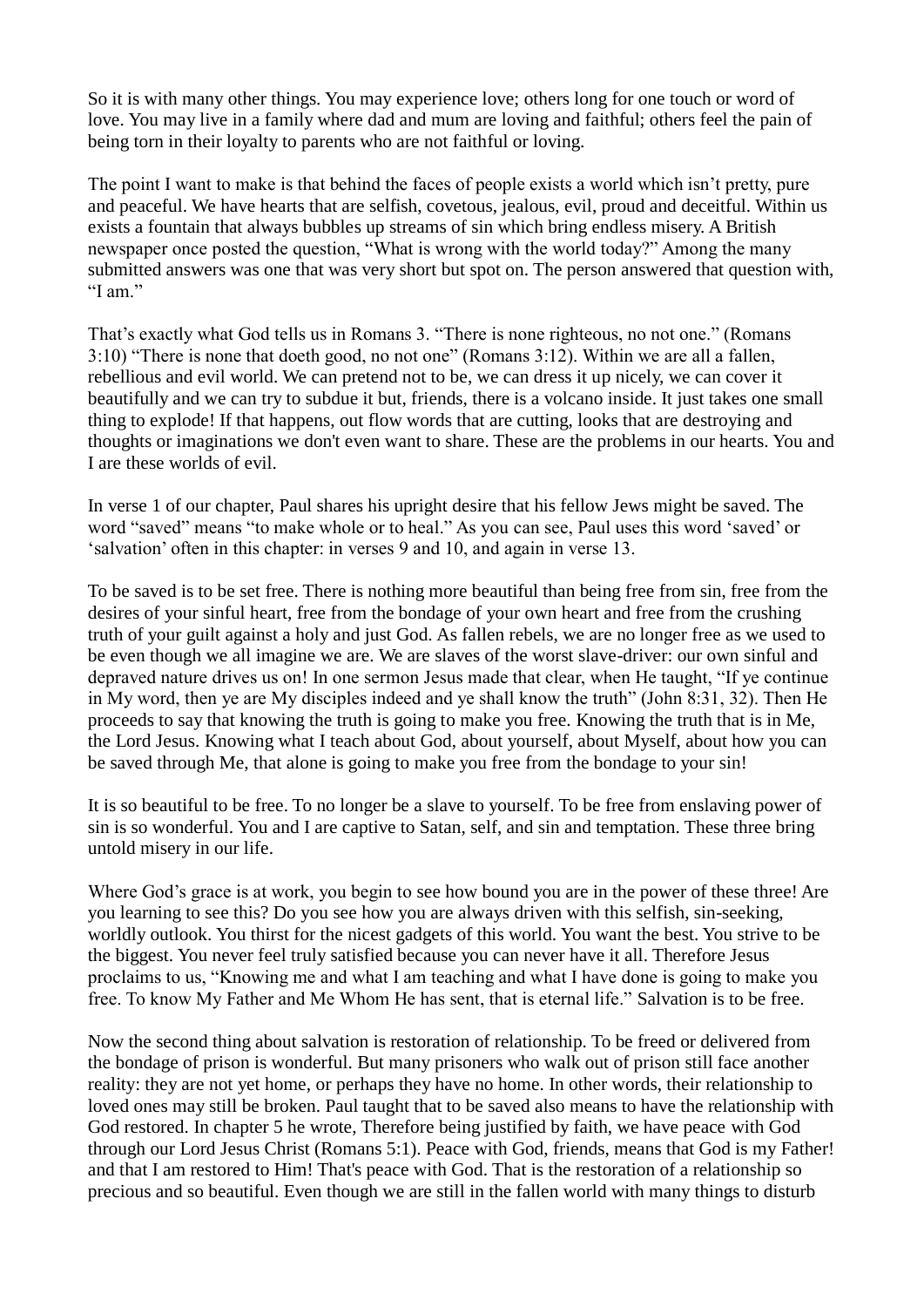So it is with many other things. You may experience love; others long for one touch or word of love. You may live in a family where dad and mum are loving and faithful; others feel the pain of being torn in their loyalty to parents who are not faithful or loving.

The point I want to make is that behind the faces of people exists a world which isn't pretty, pure and peaceful. We have hearts that are selfish, covetous, jealous, evil, proud and deceitful. Within us exists a fountain that always bubbles up streams of sin which bring endless misery. A British newspaper once posted the question, "What is wrong with the world today?" Among the many submitted answers was one that was very short but spot on. The person answered that question with, "I am."

That's exactly what God tells us in Romans 3. "There is none righteous, no not one." (Romans 3:10) "There is none that doeth good, no not one" (Romans 3:12). Within we are all a fallen, rebellious and evil world. We can pretend not to be, we can dress it up nicely, we can cover it beautifully and we can try to subdue it but, friends, there is a volcano inside. It just takes one small thing to explode! If that happens, out flow words that are cutting, looks that are destroying and thoughts or imaginations we don't even want to share. These are the problems in our hearts. You and I are these worlds of evil.

In verse 1 of our chapter, Paul shares his upright desire that his fellow Jews might be saved. The word "saved" means "to make whole or to heal." As you can see, Paul uses this word 'saved' or 'salvation' often in this chapter: in verses 9 and 10, and again in verse 13.

To be saved is to be set free. There is nothing more beautiful than being free from sin, free from the desires of your sinful heart, free from the bondage of your own heart and free from the crushing truth of your guilt against a holy and just God. As fallen rebels, we are no longer free as we used to be even though we all imagine we are. We are slaves of the worst slave-driver: our own sinful and depraved nature drives us on! In one sermon Jesus made that clear, when He taught, "If ye continue in My word, then ye are My disciples indeed and ye shall know the truth" (John 8:31, 32). Then He proceeds to say that knowing the truth is going to make you free. Knowing the truth that is in Me, the Lord Jesus. Knowing what I teach about God, about yourself, about Myself, about how you can be saved through Me, that alone is going to make you free from the bondage to your sin!

It is so beautiful to be free. To no longer be a slave to yourself. To be free from enslaving power of sin is so wonderful. You and I are captive to Satan, self, and sin and temptation. These three bring untold misery in our life.

Where God's grace is at work, you begin to see how bound you are in the power of these three! Are you learning to see this? Do you see how you are always driven with this selfish, sin-seeking, worldly outlook. You thirst for the nicest gadgets of this world. You want the best. You strive to be the biggest. You never feel truly satisfied because you can never have it all. Therefore Jesus proclaims to us, "Knowing me and what I am teaching and what I have done is going to make you free. To know My Father and Me Whom He has sent, that is eternal life." Salvation is to be free.

Now the second thing about salvation is restoration of relationship. To be freed or delivered from the bondage of prison is wonderful. But many prisoners who walk out of prison still face another reality: they are not yet home, or perhaps they have no home. In other words, their relationship to loved ones may still be broken. Paul taught that to be saved also means to have the relationship with God restored. In chapter 5 he wrote, Therefore being justified by faith, we have peace with God through our Lord Jesus Christ (Romans 5:1). Peace with God, friends, means that God is my Father! and that I am restored to Him! That's peace with God. That is the restoration of a relationship so precious and so beautiful. Even though we are still in the fallen world with many things to disturb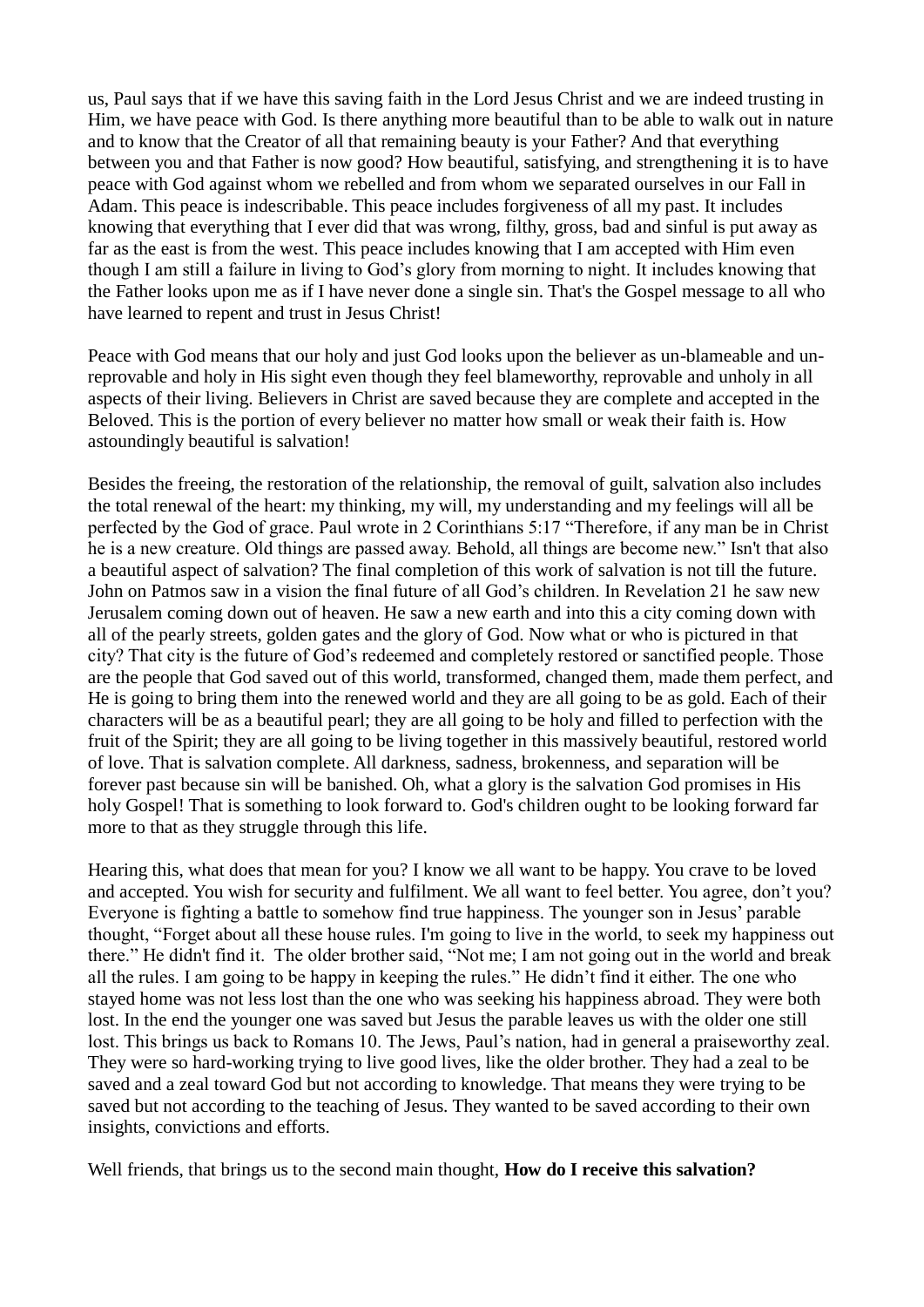us, Paul says that if we have this saving faith in the Lord Jesus Christ and we are indeed trusting in Him, we have peace with God. Is there anything more beautiful than to be able to walk out in nature and to know that the Creator of all that remaining beauty is your Father? And that everything between you and that Father is now good? How beautiful, satisfying, and strengthening it is to have peace with God against whom we rebelled and from whom we separated ourselves in our Fall in Adam. This peace is indescribable. This peace includes forgiveness of all my past. It includes knowing that everything that I ever did that was wrong, filthy, gross, bad and sinful is put away as far as the east is from the west. This peace includes knowing that I am accepted with Him even though I am still a failure in living to God's glory from morning to night. It includes knowing that the Father looks upon me as if I have never done a single sin. That's the Gospel message to all who have learned to repent and trust in Jesus Christ!

Peace with God means that our holy and just God looks upon the believer as un-blameable and unreprovable and holy in His sight even though they feel blameworthy, reprovable and unholy in all aspects of their living. Believers in Christ are saved because they are complete and accepted in the Beloved. This is the portion of every believer no matter how small or weak their faith is. How astoundingly beautiful is salvation!

Besides the freeing, the restoration of the relationship, the removal of guilt, salvation also includes the total renewal of the heart: my thinking, my will, my understanding and my feelings will all be perfected by the God of grace. Paul wrote in 2 Corinthians 5:17 "Therefore, if any man be in Christ he is a new creature. Old things are passed away. Behold, all things are become new." Isn't that also a beautiful aspect of salvation? The final completion of this work of salvation is not till the future. John on Patmos saw in a vision the final future of all God's children. In Revelation 21 he saw new Jerusalem coming down out of heaven. He saw a new earth and into this a city coming down with all of the pearly streets, golden gates and the glory of God. Now what or who is pictured in that city? That city is the future of God's redeemed and completely restored or sanctified people. Those are the people that God saved out of this world, transformed, changed them, made them perfect, and He is going to bring them into the renewed world and they are all going to be as gold. Each of their characters will be as a beautiful pearl; they are all going to be holy and filled to perfection with the fruit of the Spirit; they are all going to be living together in this massively beautiful, restored world of love. That is salvation complete. All darkness, sadness, brokenness, and separation will be forever past because sin will be banished. Oh, what a glory is the salvation God promises in His holy Gospel! That is something to look forward to. God's children ought to be looking forward far more to that as they struggle through this life.

Hearing this, what does that mean for you? I know we all want to be happy. You crave to be loved and accepted. You wish for security and fulfilment. We all want to feel better. You agree, don't you? Everyone is fighting a battle to somehow find true happiness. The younger son in Jesus' parable thought, "Forget about all these house rules. I'm going to live in the world, to seek my happiness out there." He didn't find it. The older brother said, "Not me; I am not going out in the world and break all the rules. I am going to be happy in keeping the rules." He didn't find it either. The one who stayed home was not less lost than the one who was seeking his happiness abroad. They were both lost. In the end the younger one was saved but Jesus the parable leaves us with the older one still lost. This brings us back to Romans 10. The Jews, Paul's nation, had in general a praiseworthy zeal. They were so hard-working trying to live good lives, like the older brother. They had a zeal to be saved and a zeal toward God but not according to knowledge. That means they were trying to be saved but not according to the teaching of Jesus. They wanted to be saved according to their own insights, convictions and efforts.

Well friends, that brings us to the second main thought, **How do I receive this salvation?**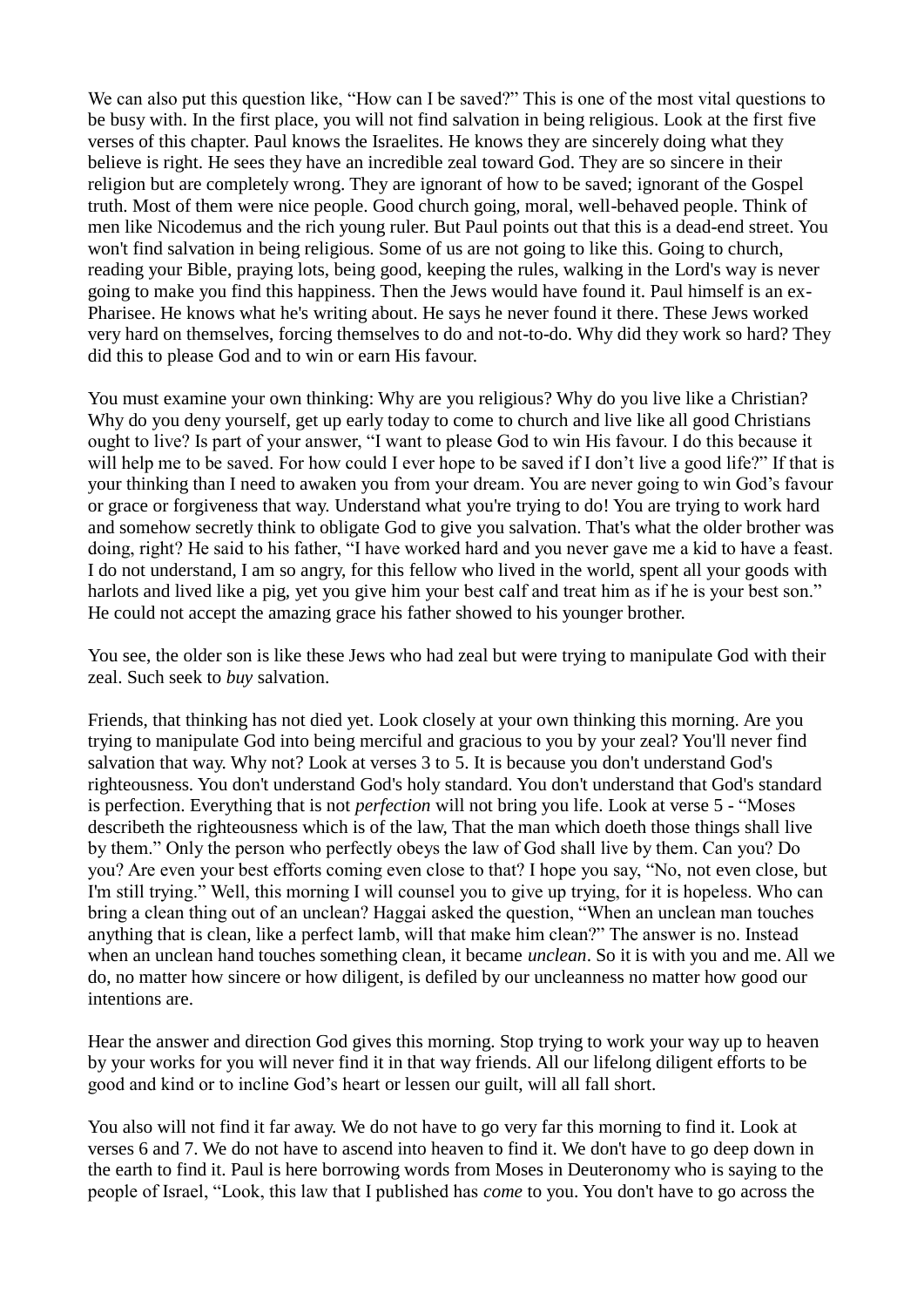We can also put this question like, "How can I be saved?" This is one of the most vital questions to be busy with. In the first place, you will not find salvation in being religious. Look at the first five verses of this chapter. Paul knows the Israelites. He knows they are sincerely doing what they believe is right. He sees they have an incredible zeal toward God. They are so sincere in their religion but are completely wrong. They are ignorant of how to be saved; ignorant of the Gospel truth. Most of them were nice people. Good church going, moral, well-behaved people. Think of men like Nicodemus and the rich young ruler. But Paul points out that this is a dead-end street. You won't find salvation in being religious. Some of us are not going to like this. Going to church, reading your Bible, praying lots, being good, keeping the rules, walking in the Lord's way is never going to make you find this happiness. Then the Jews would have found it. Paul himself is an ex-Pharisee. He knows what he's writing about. He says he never found it there. These Jews worked very hard on themselves, forcing themselves to do and not-to-do. Why did they work so hard? They did this to please God and to win or earn His favour.

You must examine your own thinking: Why are you religious? Why do you live like a Christian? Why do you deny yourself, get up early today to come to church and live like all good Christians ought to live? Is part of your answer, "I want to please God to win His favour. I do this because it will help me to be saved. For how could I ever hope to be saved if I don't live a good life?" If that is your thinking than I need to awaken you from your dream. You are never going to win God's favour or grace or forgiveness that way. Understand what you're trying to do! You are trying to work hard and somehow secretly think to obligate God to give you salvation. That's what the older brother was doing, right? He said to his father, "I have worked hard and you never gave me a kid to have a feast. I do not understand, I am so angry, for this fellow who lived in the world, spent all your goods with harlots and lived like a pig, yet you give him your best calf and treat him as if he is your best son." He could not accept the amazing grace his father showed to his younger brother.

You see, the older son is like these Jews who had zeal but were trying to manipulate God with their zeal. Such seek to *buy* salvation.

Friends, that thinking has not died yet. Look closely at your own thinking this morning. Are you trying to manipulate God into being merciful and gracious to you by your zeal? You'll never find salvation that way. Why not? Look at verses 3 to 5. It is because you don't understand God's righteousness. You don't understand God's holy standard. You don't understand that God's standard is perfection. Everything that is not *perfection* will not bring you life. Look at verse 5 - "Moses describeth the righteousness which is of the law, That the man which doeth those things shall live by them." Only the person who perfectly obeys the law of God shall live by them. Can you? Do you? Are even your best efforts coming even close to that? I hope you say, "No, not even close, but I'm still trying." Well, this morning I will counsel you to give up trying, for it is hopeless. Who can bring a clean thing out of an unclean? Haggai asked the question, "When an unclean man touches anything that is clean, like a perfect lamb, will that make him clean?" The answer is no. Instead when an unclean hand touches something clean, it became *unclean*. So it is with you and me. All we do, no matter how sincere or how diligent, is defiled by our uncleanness no matter how good our intentions are.

Hear the answer and direction God gives this morning. Stop trying to work your way up to heaven by your works for you will never find it in that way friends. All our lifelong diligent efforts to be good and kind or to incline God's heart or lessen our guilt, will all fall short.

You also will not find it far away. We do not have to go very far this morning to find it. Look at verses 6 and 7. We do not have to ascend into heaven to find it. We don't have to go deep down in the earth to find it. Paul is here borrowing words from Moses in Deuteronomy who is saying to the people of Israel, "Look, this law that I published has *come* to you. You don't have to go across the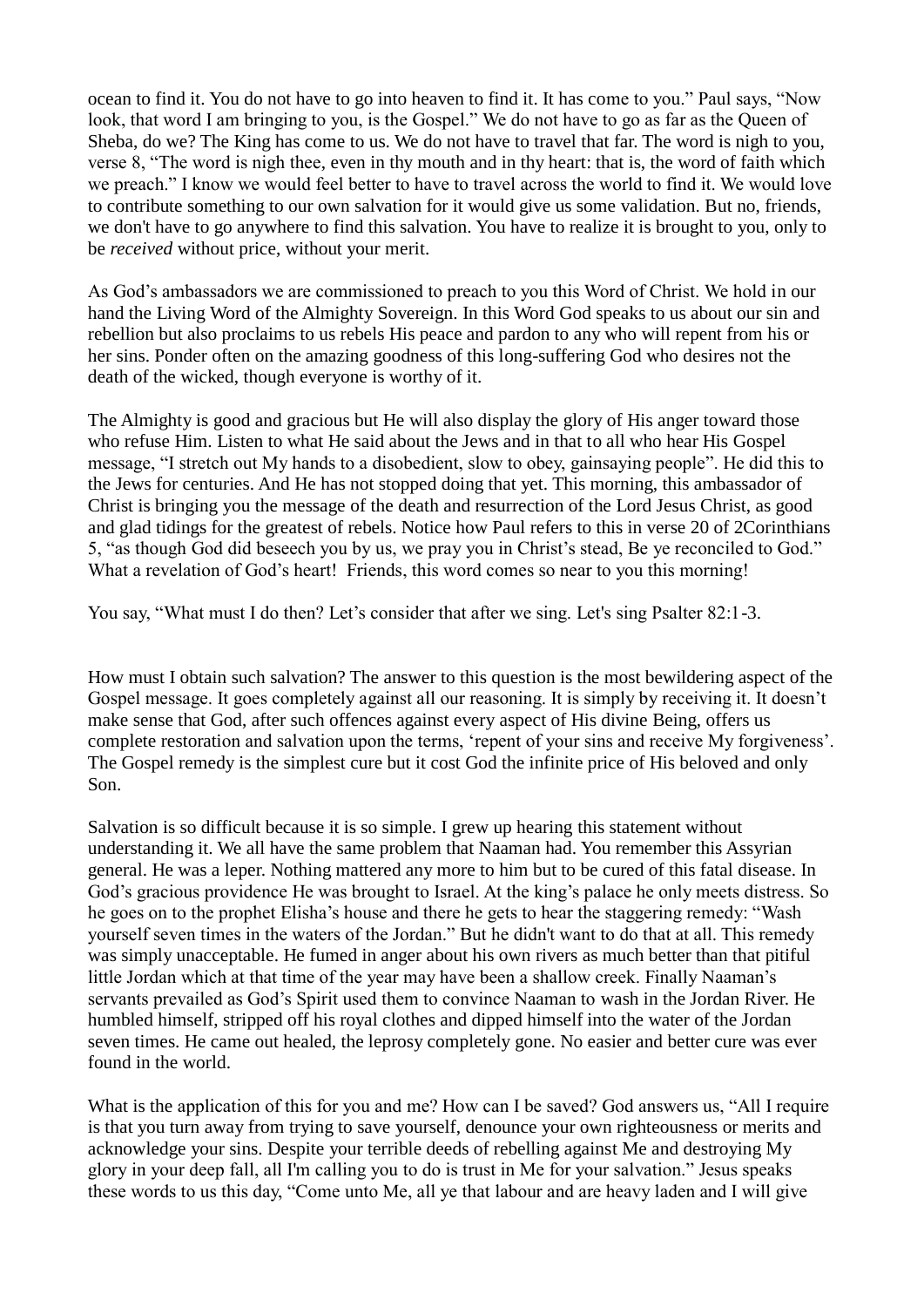ocean to find it. You do not have to go into heaven to find it. It has come to you." Paul says, "Now look, that word I am bringing to you, is the Gospel." We do not have to go as far as the Queen of Sheba, do we? The King has come to us. We do not have to travel that far. The word is nigh to you, verse 8, "The word is nigh thee, even in thy mouth and in thy heart: that is, the word of faith which we preach." I know we would feel better to have to travel across the world to find it. We would love to contribute something to our own salvation for it would give us some validation. But no, friends, we don't have to go anywhere to find this salvation. You have to realize it is brought to you, only to be *received* without price, without your merit.

As God's ambassadors we are commissioned to preach to you this Word of Christ. We hold in our hand the Living Word of the Almighty Sovereign. In this Word God speaks to us about our sin and rebellion but also proclaims to us rebels His peace and pardon to any who will repent from his or her sins. Ponder often on the amazing goodness of this long-suffering God who desires not the death of the wicked, though everyone is worthy of it.

The Almighty is good and gracious but He will also display the glory of His anger toward those who refuse Him. Listen to what He said about the Jews and in that to all who hear His Gospel message, "I stretch out My hands to a disobedient, slow to obey, gainsaying people". He did this to the Jews for centuries. And He has not stopped doing that yet. This morning, this ambassador of Christ is bringing you the message of the death and resurrection of the Lord Jesus Christ, as good and glad tidings for the greatest of rebels. Notice how Paul refers to this in verse 20 of 2Corinthians 5, "as though God did beseech you by us, we pray you in Christ's stead, Be ye reconciled to God." What a revelation of God's heart! Friends, this word comes so near to you this morning!

You say, "What must I do then? Let's consider that after we sing. Let's sing Psalter 82:1-3.

How must I obtain such salvation? The answer to this question is the most bewildering aspect of the Gospel message. It goes completely against all our reasoning. It is simply by receiving it. It doesn't make sense that God, after such offences against every aspect of His divine Being, offers us complete restoration and salvation upon the terms, 'repent of your sins and receive My forgiveness'. The Gospel remedy is the simplest cure but it cost God the infinite price of His beloved and only Son.

Salvation is so difficult because it is so simple. I grew up hearing this statement without understanding it. We all have the same problem that Naaman had. You remember this Assyrian general. He was a leper. Nothing mattered any more to him but to be cured of this fatal disease. In God's gracious providence He was brought to Israel. At the king's palace he only meets distress. So he goes on to the prophet Elisha's house and there he gets to hear the staggering remedy: "Wash yourself seven times in the waters of the Jordan." But he didn't want to do that at all. This remedy was simply unacceptable. He fumed in anger about his own rivers as much better than that pitiful little Jordan which at that time of the year may have been a shallow creek. Finally Naaman's servants prevailed as God's Spirit used them to convince Naaman to wash in the Jordan River. He humbled himself, stripped off his royal clothes and dipped himself into the water of the Jordan seven times. He came out healed, the leprosy completely gone. No easier and better cure was ever found in the world.

What is the application of this for you and me? How can I be saved? God answers us, "All I require is that you turn away from trying to save yourself, denounce your own righteousness or merits and acknowledge your sins. Despite your terrible deeds of rebelling against Me and destroying My glory in your deep fall, all I'm calling you to do is trust in Me for your salvation." Jesus speaks these words to us this day, "Come unto Me, all ye that labour and are heavy laden and I will give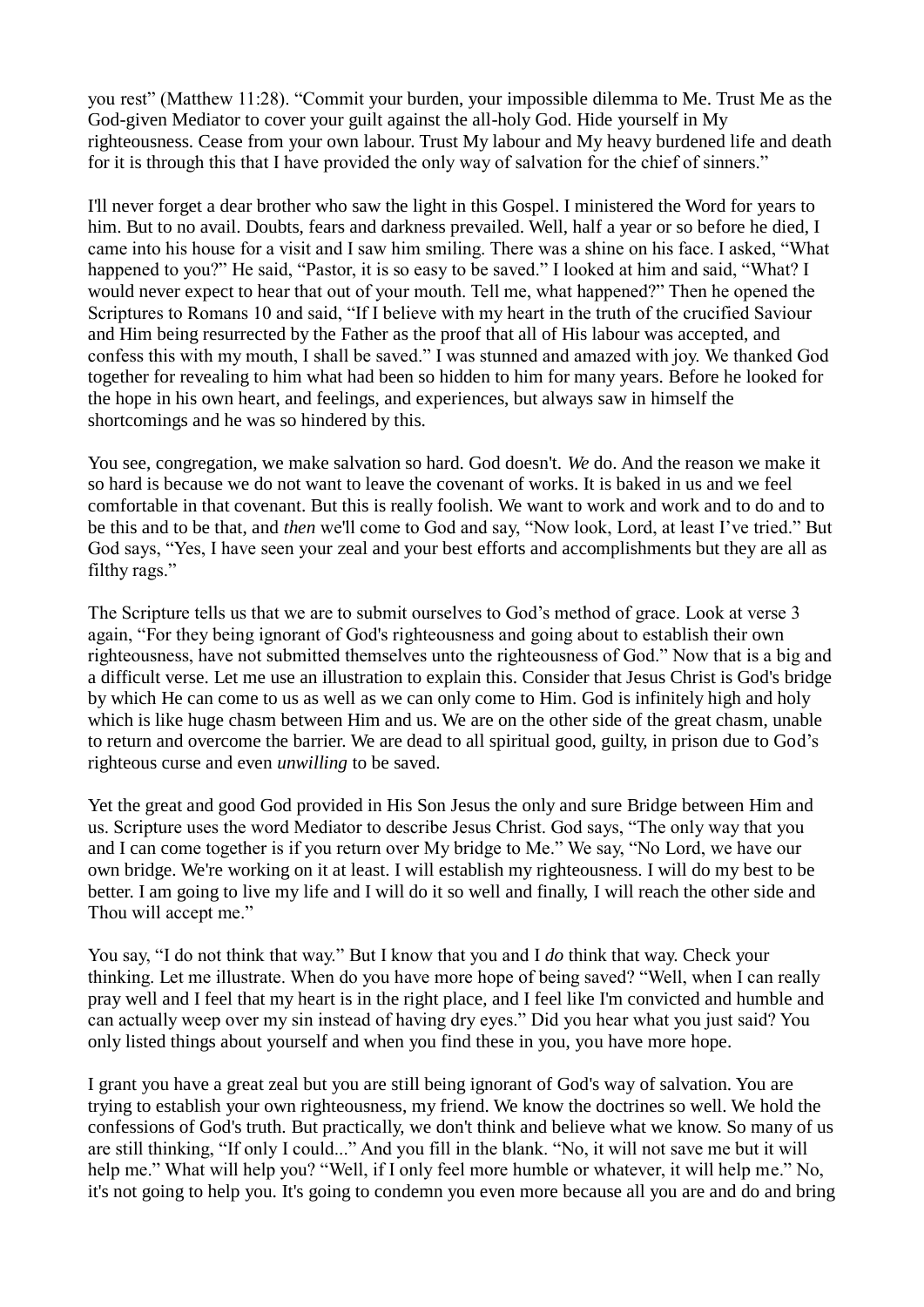you rest" (Matthew 11:28). "Commit your burden, your impossible dilemma to Me. Trust Me as the God-given Mediator to cover your guilt against the all-holy God. Hide yourself in My righteousness. Cease from your own labour. Trust My labour and My heavy burdened life and death for it is through this that I have provided the only way of salvation for the chief of sinners."

I'll never forget a dear brother who saw the light in this Gospel. I ministered the Word for years to him. But to no avail. Doubts, fears and darkness prevailed. Well, half a year or so before he died, I came into his house for a visit and I saw him smiling. There was a shine on his face. I asked, "What happened to you?" He said, "Pastor, it is so easy to be saved." I looked at him and said, "What? I would never expect to hear that out of your mouth. Tell me, what happened?" Then he opened the Scriptures to Romans 10 and said, "If I believe with my heart in the truth of the crucified Saviour and Him being resurrected by the Father as the proof that all of His labour was accepted, and confess this with my mouth, I shall be saved." I was stunned and amazed with joy. We thanked God together for revealing to him what had been so hidden to him for many years. Before he looked for the hope in his own heart, and feelings, and experiences, but always saw in himself the shortcomings and he was so hindered by this.

You see, congregation, we make salvation so hard. God doesn't. *We* do. And the reason we make it so hard is because we do not want to leave the covenant of works. It is baked in us and we feel comfortable in that covenant. But this is really foolish. We want to work and work and to do and to be this and to be that, and *then* we'll come to God and say, "Now look, Lord, at least I've tried." But God says, "Yes, I have seen your zeal and your best efforts and accomplishments but they are all as filthy rags."

The Scripture tells us that we are to submit ourselves to God's method of grace. Look at verse 3 again, "For they being ignorant of God's righteousness and going about to establish their own righteousness, have not submitted themselves unto the righteousness of God." Now that is a big and a difficult verse. Let me use an illustration to explain this. Consider that Jesus Christ is God's bridge by which He can come to us as well as we can only come to Him. God is infinitely high and holy which is like huge chasm between Him and us. We are on the other side of the great chasm, unable to return and overcome the barrier. We are dead to all spiritual good, guilty, in prison due to God's righteous curse and even *unwilling* to be saved.

Yet the great and good God provided in His Son Jesus the only and sure Bridge between Him and us. Scripture uses the word Mediator to describe Jesus Christ. God says, "The only way that you and I can come together is if you return over My bridge to Me." We say, "No Lord, we have our own bridge. We're working on it at least. I will establish my righteousness. I will do my best to be better. I am going to live my life and I will do it so well and finally, I will reach the other side and Thou will accept me."

You say, "I do not think that way." But I know that you and I *do* think that way. Check your thinking. Let me illustrate. When do you have more hope of being saved? "Well, when I can really pray well and I feel that my heart is in the right place, and I feel like I'm convicted and humble and can actually weep over my sin instead of having dry eyes." Did you hear what you just said? You only listed things about yourself and when you find these in you, you have more hope.

I grant you have a great zeal but you are still being ignorant of God's way of salvation. You are trying to establish your own righteousness, my friend. We know the doctrines so well. We hold the confessions of God's truth. But practically, we don't think and believe what we know. So many of us are still thinking, "If only I could..." And you fill in the blank. "No, it will not save me but it will help me." What will help you? "Well, if I only feel more humble or whatever, it will help me." No, it's not going to help you. It's going to condemn you even more because all you are and do and bring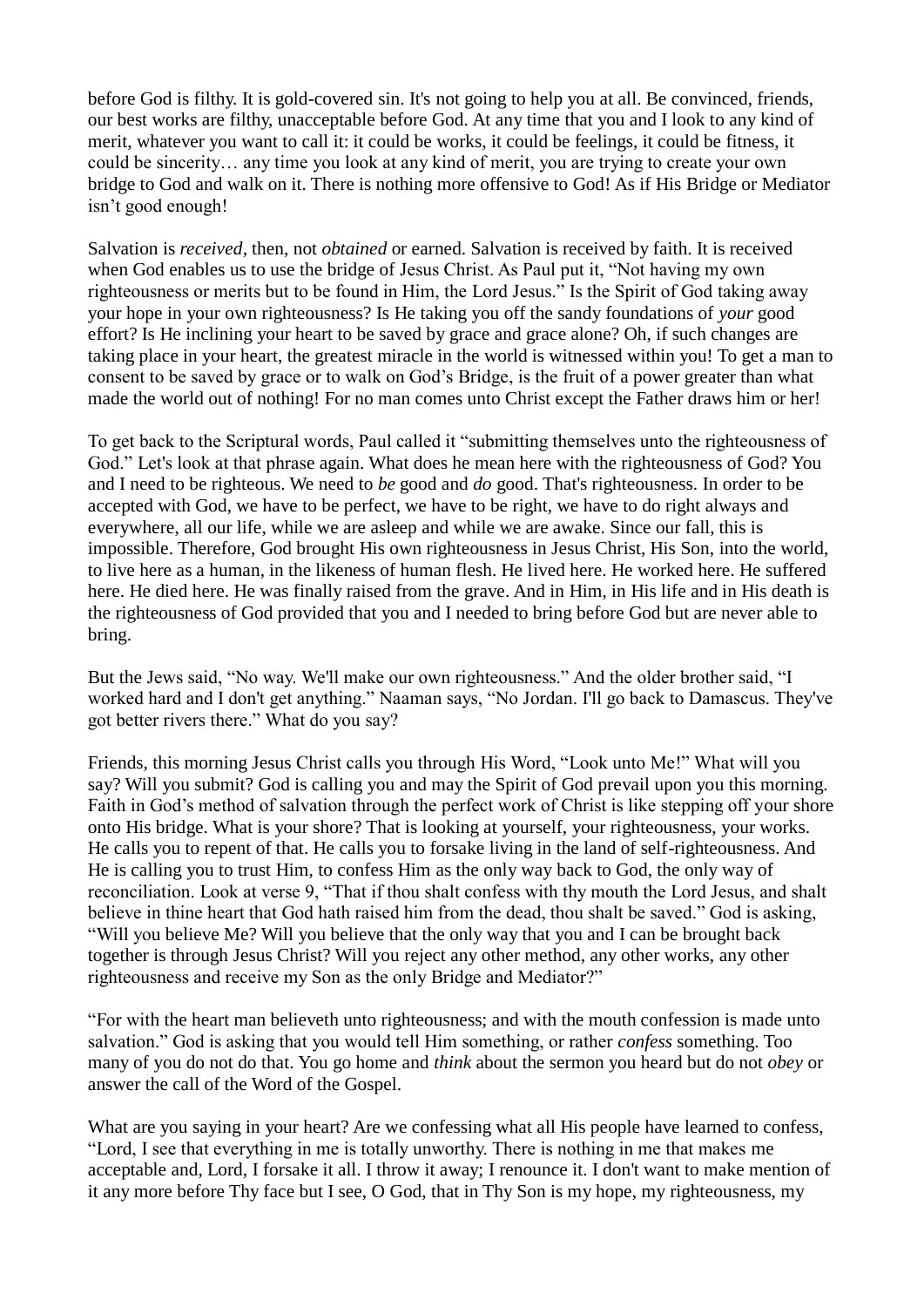before God is filthy. It is gold-covered sin. It's not going to help you at all. Be convinced, friends, our best works are filthy, unacceptable before God. At any time that you and I look to any kind of merit, whatever you want to call it: it could be works, it could be feelings, it could be fitness, it could be sincerity… any time you look at any kind of merit, you are trying to create your own bridge to God and walk on it. There is nothing more offensive to God! As if His Bridge or Mediator isn't good enough!

Salvation is *received*, then, not *obtained* or earned. Salvation is received by faith. It is received when God enables us to use the bridge of Jesus Christ. As Paul put it, "Not having my own righteousness or merits but to be found in Him, the Lord Jesus." Is the Spirit of God taking away your hope in your own righteousness? Is He taking you off the sandy foundations of *your* good effort? Is He inclining your heart to be saved by grace and grace alone? Oh, if such changes are taking place in your heart, the greatest miracle in the world is witnessed within you! To get a man to consent to be saved by grace or to walk on God's Bridge, is the fruit of a power greater than what made the world out of nothing! For no man comes unto Christ except the Father draws him or her!

To get back to the Scriptural words, Paul called it "submitting themselves unto the righteousness of God." Let's look at that phrase again. What does he mean here with the righteousness of God? You and I need to be righteous. We need to *be* good and *do* good. That's righteousness. In order to be accepted with God, we have to be perfect, we have to be right, we have to do right always and everywhere, all our life, while we are asleep and while we are awake. Since our fall, this is impossible. Therefore, God brought His own righteousness in Jesus Christ, His Son, into the world, to live here as a human, in the likeness of human flesh. He lived here. He worked here. He suffered here. He died here. He was finally raised from the grave. And in Him, in His life and in His death is the righteousness of God provided that you and I needed to bring before God but are never able to bring.

But the Jews said, "No way. We'll make our own righteousness." And the older brother said, "I worked hard and I don't get anything." Naaman says, "No Jordan. I'll go back to Damascus. They've got better rivers there." What do you say?

Friends, this morning Jesus Christ calls you through His Word, "Look unto Me!" What will you say? Will you submit? God is calling you and may the Spirit of God prevail upon you this morning. Faith in God's method of salvation through the perfect work of Christ is like stepping off your shore onto His bridge. What is your shore? That is looking at yourself, your righteousness, your works. He calls you to repent of that. He calls you to forsake living in the land of self-righteousness. And He is calling you to trust Him, to confess Him as the only way back to God, the only way of reconciliation. Look at verse 9, "That if thou shalt confess with thy mouth the Lord Jesus, and shalt believe in thine heart that God hath raised him from the dead, thou shalt be saved." God is asking, "Will you believe Me? Will you believe that the only way that you and I can be brought back together is through Jesus Christ? Will you reject any other method, any other works, any other righteousness and receive my Son as the only Bridge and Mediator?"

"For with the heart man believeth unto righteousness; and with the mouth confession is made unto salvation." God is asking that you would tell Him something, or rather *confess* something. Too many of you do not do that. You go home and *think* about the sermon you heard but do not *obey* or answer the call of the Word of the Gospel.

What are you saying in your heart? Are we confessing what all His people have learned to confess, "Lord, I see that everything in me is totally unworthy. There is nothing in me that makes me acceptable and, Lord, I forsake it all. I throw it away; I renounce it. I don't want to make mention of it any more before Thy face but I see, O God, that in Thy Son is my hope, my righteousness, my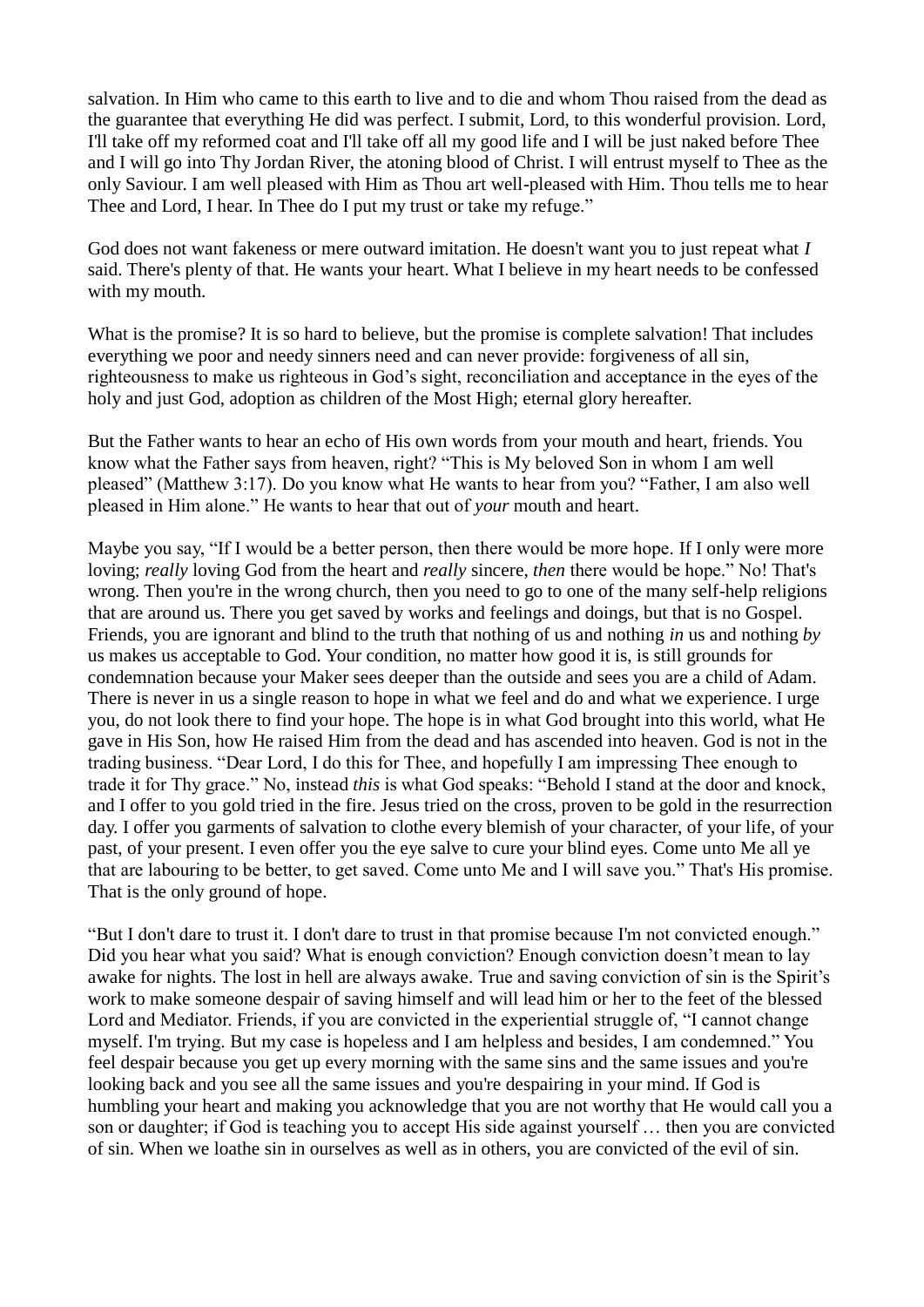salvation. In Him who came to this earth to live and to die and whom Thou raised from the dead as the guarantee that everything He did was perfect. I submit, Lord, to this wonderful provision. Lord, I'll take off my reformed coat and I'll take off all my good life and I will be just naked before Thee and I will go into Thy Jordan River, the atoning blood of Christ. I will entrust myself to Thee as the only Saviour. I am well pleased with Him as Thou art well-pleased with Him. Thou tells me to hear Thee and Lord, I hear. In Thee do I put my trust or take my refuge."

God does not want fakeness or mere outward imitation. He doesn't want you to just repeat what *I* said. There's plenty of that. He wants your heart. What I believe in my heart needs to be confessed with my mouth.

What is the promise? It is so hard to believe, but the promise is complete salvation! That includes everything we poor and needy sinners need and can never provide: forgiveness of all sin, righteousness to make us righteous in God's sight, reconciliation and acceptance in the eyes of the holy and just God, adoption as children of the Most High; eternal glory hereafter.

But the Father wants to hear an echo of His own words from your mouth and heart, friends. You know what the Father says from heaven, right? "This is My beloved Son in whom I am well pleased" (Matthew 3:17). Do you know what He wants to hear from you? "Father, I am also well pleased in Him alone." He wants to hear that out of *your* mouth and heart.

Maybe you say, "If I would be a better person, then there would be more hope. If I only were more loving; *really* loving God from the heart and *really* sincere, *then* there would be hope." No! That's wrong. Then you're in the wrong church, then you need to go to one of the many self-help religions that are around us. There you get saved by works and feelings and doings, but that is no Gospel. Friends, you are ignorant and blind to the truth that nothing of us and nothing *in* us and nothing *by* us makes us acceptable to God. Your condition, no matter how good it is, is still grounds for condemnation because your Maker sees deeper than the outside and sees you are a child of Adam. There is never in us a single reason to hope in what we feel and do and what we experience. I urge you, do not look there to find your hope. The hope is in what God brought into this world, what He gave in His Son, how He raised Him from the dead and has ascended into heaven. God is not in the trading business. "Dear Lord, I do this for Thee, and hopefully I am impressing Thee enough to trade it for Thy grace." No, instead *this* is what God speaks: "Behold I stand at the door and knock, and I offer to you gold tried in the fire. Jesus tried on the cross, proven to be gold in the resurrection day. I offer you garments of salvation to clothe every blemish of your character, of your life, of your past, of your present. I even offer you the eye salve to cure your blind eyes. Come unto Me all ye that are labouring to be better, to get saved. Come unto Me and I will save you." That's His promise. That is the only ground of hope.

"But I don't dare to trust it. I don't dare to trust in that promise because I'm not convicted enough." Did you hear what you said? What is enough conviction? Enough conviction doesn't mean to lay awake for nights. The lost in hell are always awake. True and saving conviction of sin is the Spirit's work to make someone despair of saving himself and will lead him or her to the feet of the blessed Lord and Mediator. Friends, if you are convicted in the experiential struggle of, "I cannot change myself. I'm trying. But my case is hopeless and I am helpless and besides, I am condemned." You feel despair because you get up every morning with the same sins and the same issues and you're looking back and you see all the same issues and you're despairing in your mind. If God is humbling your heart and making you acknowledge that you are not worthy that He would call you a son or daughter; if God is teaching you to accept His side against yourself … then you are convicted of sin. When we loathe sin in ourselves as well as in others, you are convicted of the evil of sin.